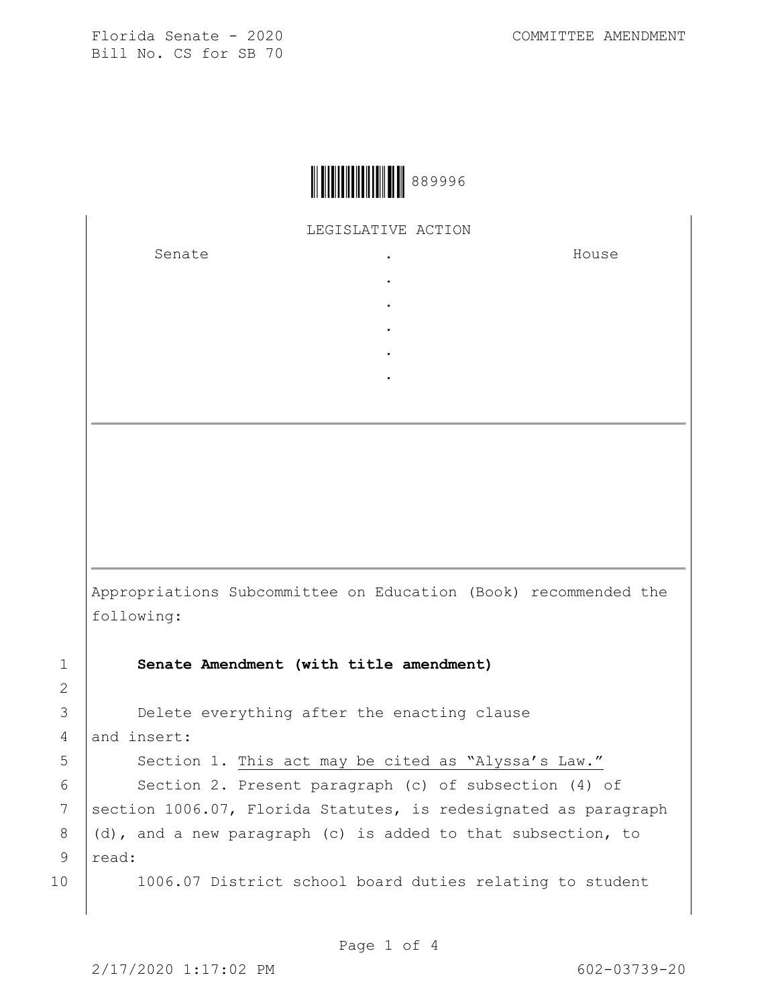

LEGISLATIVE ACTION

. . . . .

Senate .

House

Appropriations Subcommittee on Education (Book) recommended the following:

1 **Senate Amendment (with title amendment)**

2 3 **Delete everything after the enacting clause** 

4 and insert: 5 | Section 1. This act may be cited as "Alyssa's Law." 6 | Section 2. Present paragraph (c) of subsection (4) of 7 Section 1006.07, Florida Statutes, is redesignated as paragraph

8  $(d)$ , and a new paragraph (c) is added to that subsection, to 9 read:

10 | 1006.07 District school board duties relating to student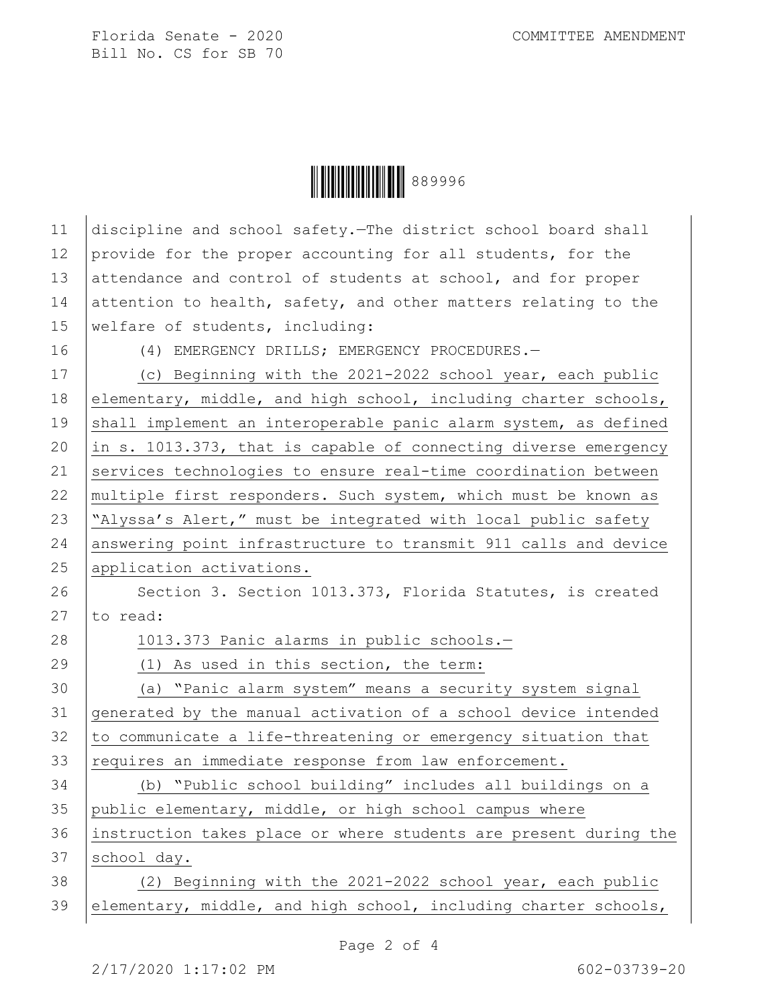

| 11 | discipline and school safety. The district school board shall    |
|----|------------------------------------------------------------------|
| 12 | provide for the proper accounting for all students, for the      |
| 13 | attendance and control of students at school, and for proper     |
| 14 | attention to health, safety, and other matters relating to the   |
| 15 | welfare of students, including:                                  |
| 16 | (4) EMERGENCY DRILLS; EMERGENCY PROCEDURES.-                     |
| 17 | (c) Beginning with the 2021-2022 school year, each public        |
| 18 | elementary, middle, and high school, including charter schools,  |
| 19 | shall implement an interoperable panic alarm system, as defined  |
| 20 | in s. 1013.373, that is capable of connecting diverse emergency  |
| 21 | services technologies to ensure real-time coordination between   |
| 22 | multiple first responders. Such system, which must be known as   |
| 23 | "Alyssa's Alert," must be integrated with local public safety    |
| 24 | answering point infrastructure to transmit 911 calls and device  |
| 25 | application activations.                                         |
| 26 | Section 3. Section 1013.373, Florida Statutes, is created        |
| 27 | to read:                                                         |
| 28 | 1013.373 Panic alarms in public schools.-                        |
| 29 | (1) As used in this section, the term:                           |
| 30 | (a) "Panic alarm system" means a security system signal          |
| 31 | generated by the manual activation of a school device intended   |
| 32 | to communicate a life-threatening or emergency situation that    |
| 33 | requires an immediate response from law enforcement.             |
| 34 | (b) "Public school building" includes all buildings on a         |
| 35 | public elementary, middle, or high school campus where           |
| 36 | instruction takes place or where students are present during the |
| 37 | school day.                                                      |
| 38 | (2) Beginning with the 2021-2022 school year, each public        |
| 39 | elementary, middle, and high school, including charter schools,  |
|    |                                                                  |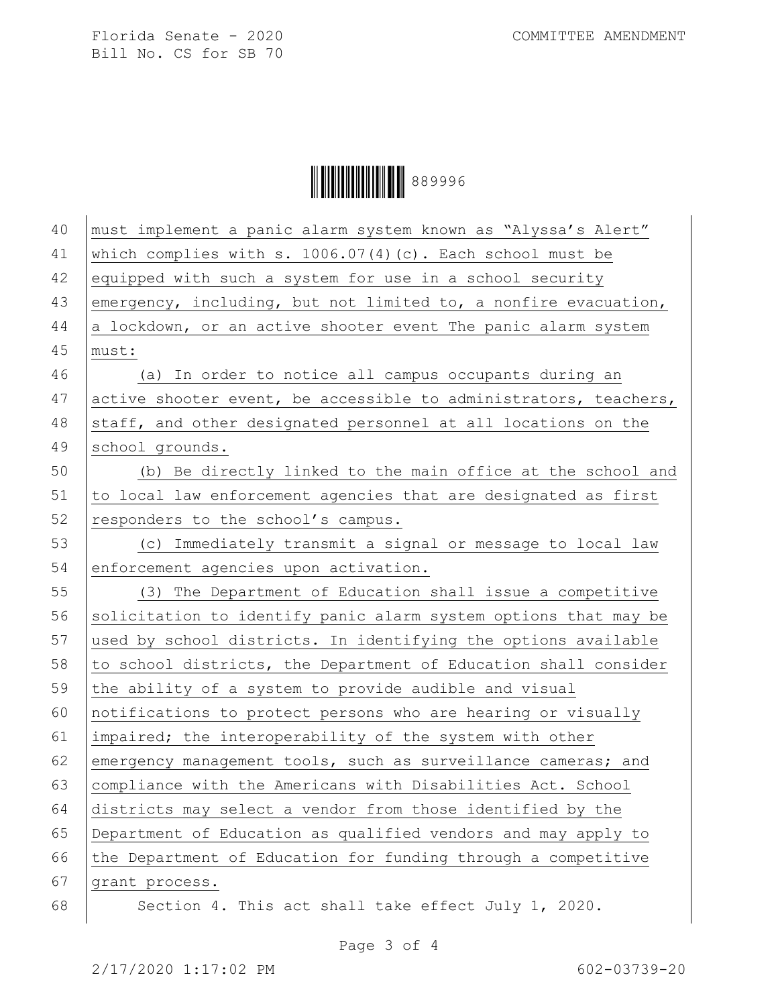Ì889996}Î889996

| 40 | must implement a panic alarm system known as "Alyssa's Alert"    |
|----|------------------------------------------------------------------|
| 41 | which complies with s. $1006.07(4)(c)$ . Each school must be     |
| 42 | equipped with such a system for use in a school security         |
| 43 | emergency, including, but not limited to, a nonfire evacuation,  |
| 44 | a lockdown, or an active shooter event The panic alarm system    |
| 45 | must:                                                            |
| 46 | (a) In order to notice all campus occupants during an            |
| 47 | active shooter event, be accessible to administrators, teachers, |
| 48 | staff, and other designated personnel at all locations on the    |
| 49 | school grounds.                                                  |
| 50 | (b) Be directly linked to the main office at the school and      |
| 51 | to local law enforcement agencies that are designated as first   |
| 52 | responders to the school's campus.                               |
| 53 | (c) Immediately transmit a signal or message to local law        |
| 54 | enforcement agencies upon activation.                            |
| 55 | (3) The Department of Education shall issue a competitive        |
| 56 | solicitation to identify panic alarm system options that may be  |
| 57 | used by school districts. In identifying the options available   |
| 58 | to school districts, the Department of Education shall consider  |
| 59 | the ability of a system to provide audible and visual            |
| 60 | notifications to protect persons who are hearing or visually     |
| 61 | impaired; the interoperability of the system with other          |
| 62 | emergency management tools, such as surveillance cameras; and    |
| 63 | compliance with the Americans with Disabilities Act. School      |
| 64 | districts may select a vendor from those identified by the       |
| 65 | Department of Education as qualified vendors and may apply to    |
| 66 | the Department of Education for funding through a competitive    |
| 67 | grant process.                                                   |
| 68 | Section 4. This act shall take effect July 1, 2020.              |